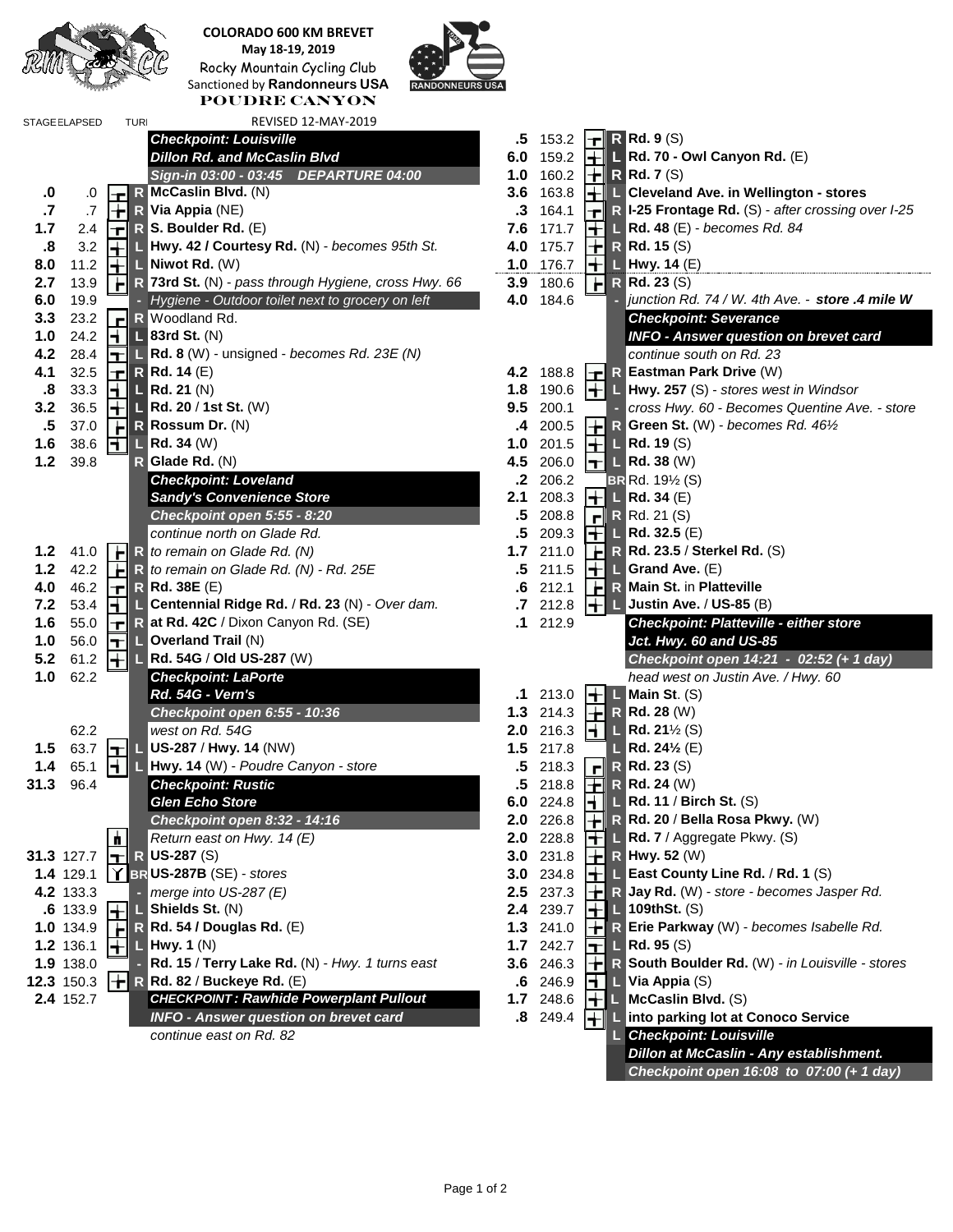

**COLORADO 600 KM BREVET May 18-19, 2019** Rocky Mountain Cycling Club Sanctioned by **Randonneurs USA Poudre Canyon**



| REVISED 12-MAY-2019<br><b>STAGE ELAPSED</b><br><b>TURI</b>                                 |                                                                                                                                  |
|--------------------------------------------------------------------------------------------|----------------------------------------------------------------------------------------------------------------------------------|
| <b>Checkpoint: Louisville</b>                                                              | $R$ Rd. 9 (S)<br>$.5 \t153.2$<br>┲║                                                                                              |
| <b>Dillon Rd. and McCaslin Blvd</b>                                                        | Rd. 70 - Owl Canyon Rd. (E)<br>6.0<br>159.2<br>┞╈╢                                                                               |
| Sign-in 03:00 - 03:45 DEPARTURE 04:00                                                      | $\left\  \div \right\ $ R Rd. 7 (S)<br>1.0<br>160.2                                                                              |
| R McCaslin Blvd. (N)<br>$\cdot$ 0<br>.0<br>Ŧ                                               | 3.6<br>163.8<br>$\left \frac{1}{\left \mathbf{r}\right }\right $ $\left \mathbf{r}\right $ Cleveland Ave. in Wellington - stores |
| $\cdot$<br>╟╆╢<br>$.7\,$<br>$R$ Via Appia (NE)                                             | $\mathbf{F}$ R I-25 Frontage Rd. (S) - after crossing over I-2<br>$\cdot$ 3<br>164.1                                             |
| 1.7<br>$\  \cdot \ $ R S. Boulder Rd. (E)<br>2.4                                           | 7.6<br>171.7<br>$\left  \frac{1}{2} \right  \left  \frac{1}{2} \right $ Rd. 48 (E) - becomes Rd. 84                              |
| $\boldsymbol{.8}$<br>Hwy. 42 / Courtesy Rd. (N) - becomes 95th St.<br>3.2<br>╟╈╢           | 175.7<br>$\left\  \cdot \right\ $ R Rd. 15 (S)<br>4.0                                                                            |
| 8.0<br>11.2<br>$\blacksquare$ Niwot Rd. $(W)$<br>╟╈╢                                       | 176.7<br>1.0<br>$\leftarrow$ L Hwy. 14 (E)                                                                                       |
| R 73rd St. (N) - pass through Hygiene, cross Hwy. 66<br>2.7<br>13.9<br>H                   | 180.6<br>$\mathsf{H}$<br><b>R</b> Rd. 23 (S)<br>3.9                                                                              |
| 6.0<br>19.9<br>- Hygiene - Outdoor toilet next to grocery on left                          | junction Rd. 74 / W. 4th Ave. - store .4 mile<br>4.0<br>184.6                                                                    |
| اآسا<br>3.3<br>23.2<br>R Woodland Rd.                                                      | <b>Checkpoint: Severance</b>                                                                                                     |
| $\boxed{\frac{1}{2}}$ L 83rd St. (N)<br>1.0<br>24.2                                        | <b>INFO - Answer question on brevet card</b>                                                                                     |
| $\boxed{\mathbf{T}}$ L Rd. 8 (W) - unsigned - becomes Rd. 23E (N)<br>4.2<br>28.4           | continue south on Rd. 23                                                                                                         |
| 4.1<br>32.5                                                                                | $\left\  \mathbf{F} \right\ $ R Eastman Park Drive (W)<br>4.2                                                                    |
| $\left\  \mathbf{r} \right\ $ R Rd. 14 (E)<br>$\parallel \parallel \parallel$   Rd. 21 (N) | 188.8                                                                                                                            |
| $\boldsymbol{.8}$<br>33.3                                                                  | $\left  \div \right $ L Hwy. 257 (S) - stores west in Windsor<br>190.6<br>1.8                                                    |
| $\left \frac{1}{1}\right $ L Rd. 20 / 1st St. (W)<br>3.2<br>36.5                           | 9.5<br>200.1<br>cross Hwy. 60 - Becomes Quentine Ave. - sto                                                                      |
| $\ \cdot\ $ R Rossum Dr. (N)<br>$.5\,$<br>37.0                                             | R Green St. (W) - becomes Rd. 461/2<br>4 200.5                                                                                   |
| 1.6<br>38.6<br>$\boxed{\blacksquare}$ Rd. 34 (W)                                           | 1.0<br>201.5<br>$\left  \frac{1}{2} \right $ Rd. 19 (S)                                                                          |
| $1.2$<br>39.8<br>$R$ Glade Rd. $(N)$                                                       | 4.5<br>206.0<br>$\left  \mathbf{T} \right $ $\left  \mathbf{L} \right $ Rd. 38 (W)                                               |
| <b>Checkpoint: Loveland</b>                                                                | $\mathbf{.2}$<br>206.2<br>$BR Rd. 19\frac{1}{2} (S)$                                                                             |
| <b>Sandy's Convenience Store</b>                                                           | $\Box$ Rd. 34 (E)<br>2.1<br>208.3<br>HH                                                                                          |
| Checkpoint open 5:55 - 8:20                                                                | .5<br>208.8<br>$\mathbf{F}$ R Rd. 21 (S)                                                                                         |
| continue north on Glade Rd.                                                                | $\boxed{+}$ L Rd. 32.5 (E)<br>.5<br>209.3                                                                                        |
| $1.2$ 41.0<br>$\ \cdot\ $ R to remain on Glade Rd. (N)                                     | H<br>R Rd. 23.5 / Sterkel Rd. (S)<br>1.7<br>211.0                                                                                |
| $1.2$<br>42.2<br>┠┢╢<br>R to remain on Glade Rd. (N) - Rd. 25E                             | $\left\  \boldsymbol{+} \right\ $ L Grand Ave. (E)<br>$.5\,$<br>211.5                                                            |
| 4.0<br>$\left\  \mathbf{r} \right\ $ R Rd. 38E (E)<br>46.2                                 | <b>IF R Main St. in Platteville</b><br>212.1<br>.6                                                                               |
| $\blacksquare$<br>7.2<br>53.4<br>L Centennial Ridge Rd. / Rd. 23 (N) - Over dam.           | $\left \frac{1}{2}\right $ L Justin Ave. / US-85 (B)<br>.7 212.8                                                                 |
| $\left\  \mathbf{r} \right\ $ R at Rd. 42C / Dixon Canyon Rd. (SE)<br>1.6<br>55.0          | 212.9<br>.1<br><b>Checkpoint: Platteville - either store</b>                                                                     |
| 1.0<br>56.0<br>$\ \mathbf{T}\ $ Overland Trail (N)                                         | Jct. Hwy. 60 and US-85                                                                                                           |
| 5.2<br>61.2<br>HIL Rd. 54G / Old US-287 (W)                                                | Checkpoint open 14:21 - 02:52 (+ 1 day)                                                                                          |
| 1.0<br>62.2<br><b>Checkpoint: LaPorte</b>                                                  | head west on Justin Ave. / Hwy. 60                                                                                               |
| <b>Rd. 54G - Vern's</b>                                                                    | Main St. (S)<br>213.0<br>┞╅╢┖<br>.1                                                                                              |
| Checkpoint open 6:55 - 10:36                                                               | 214.3<br>1.3<br>$R$ Rd. 28 (W)<br>L۳                                                                                             |
| west on Rd. 54G<br>62.2                                                                    | 216.3<br>H<br>2.0<br><b>L</b> Rd. 21 $\frac{1}{2}$ (S)                                                                           |
| $\left\  \mathbf{H} \right\ $ US-287 / Hwy. 14 (NW)<br>63.7<br>1.5                         | <b>L</b> Rd. 24 <sup>1</sup> / <sub>2</sub> (E)<br>1.5<br>217.8                                                                  |
| 1.4<br>HI<br>L Hwy. 14 (W) - Poudre Canyon - store<br>65.1                                 | <b>R</b> Rd. 23 (S)<br>.5<br>218.3<br>F∥                                                                                         |
| <b>Checkpoint: Rustic</b><br>31.3<br>96.4                                                  | $.5$ 218.8 $\boxed{+}$<br>$R$ Rd. 24 (W)                                                                                         |
| <b>Glen Echo Store</b>                                                                     | 6.0 224.8 $\boxed{+}$<br>$L$ Rd. 11 / Birch St. (S)                                                                              |
| Checkpoint open 8:32 - 14:16                                                               | 2.0 226.8 $\ \cdot\ $ R Rd. 20 / Bella Rosa Pkwy. (W)                                                                            |
| $\mathbf{h}$<br>Return east on Hwy. 14 (E)                                                 | <b>2.0</b> 228.8 $\boxed{+}$ L Rd. 7 / Aggregate Pkwy. (S)                                                                       |
| $\left  \mathbf{T} \right $ R US-287 (S)<br>31.3 127.7                                     | 3.0 231.8 $\  \cdot \ $ R Hwy. 52 (W)                                                                                            |
| 1.4 129.1<br>$\ Y\ $ BR US-287B (SE) - stores                                              | $\left\  \boldsymbol{\cdot} \right\ $ <b>L</b> East County Line Rd. / Rd. 1 (S)<br>3.0 234.8                                     |
| 4.2 133.3<br>merge into US-287 (E)                                                         | $\left\  \boldsymbol{\div} \right\ $ R Jay Rd. (W) - store - becomes Jasper Rd.<br>2.5 237.3                                     |
| .6 133.9<br>$\blacksquare$ Shields St. $(N)$                                               | 239.7<br>$\pm$ 109thSt. (S)<br>2.4                                                                                               |
| R Rd. 54 / Douglas Rd. (E)<br>1.0 134.9                                                    | $1.3$ 241.0<br>R Erie Parkway (W) - becomes Isabelle Rd.                                                                         |
| $\mathbb{L}$ Hwy. 1 (N)<br>1.2 136.1                                                       | 1.7 242.7<br>$\mathsf{L}$ Rd. 95 (S)<br>┱╢                                                                                       |
| 1.9 138.0<br>- Rd. 15 / Terry Lake Rd. (N) - Hwy. 1 turns east                             | R South Boulder Rd. (W) - in Louisville - store<br><b>3.6</b> 246.3<br>H                                                         |
| $\left\  \div \right\ $ R Rd. 82 / Buckeye Rd. (E)<br>12.3 150.3                           | $.6$ 246.9<br>$\blacksquare$ Via Appia (S)                                                                                       |
| <b>CHECKPOINT: Rawhide Powerplant Pullout</b><br>2.4 152.7                                 | 1.7 248.6<br>$\left \frac{1}{2}\right $ McCaslin Blvd. (S)                                                                       |
| <b>INFO - Answer question on brevet card</b>                                               |                                                                                                                                  |
| continue east on Rd. 82                                                                    | .8 249.4   Into parking lot at Conoco Service<br>L Checkpoint: Louisville                                                        |
|                                                                                            | Dillon at McCaslin - Any establishment.                                                                                          |
|                                                                                            |                                                                                                                                  |
|                                                                                            | Checkpoint open 16:08 to 07:00 (+ 1 day)                                                                                         |

**6.0** 19.9 **-** *Hygiene - Outdoor toilet next to grocery on left* **4.0** 184.6 **-** *junction Rd. 74 / W. 4th Ave. - store .4 mile W* **3.3** 23.2 **R** Woodland Rd. *Checkpoint: Severance* **1.0** 24.2 **L 83rd St.** (N) *INFO - Answer question on brevet card* **4.2** 28.4 **L Rd. 8** (W) - unsigned - *becomes Rd. 23E (N) continue south on Rd. 23* **4.1** 32.5 **R Rd. 14** (E) **4.2** 188.8 **R Eastman Park Drive** (W) **.8** 33.3 **L Rd. 21** (N) **1.8** 190.6 **L Hwy. 257** (S) - *stores west in Windsor* **3.2** 36.5 **L Rd. 20** / **1st St.** (W) **9.5** 200.1 **-** *cross Hwy. 60 - Becomes Quentine Ave. - store* **.5** 37.0 **R Rossum Dr.** (N) **.4** 200.5 **R Green St.** (W) - *becomes Rd. 46½* **1.2** 41.0 **R** *to remain on Glade Rd. (N)* **1.7** 211.0 **R Rd. 23.5** / **Sterkel Rd.** (S) **1.2** Ave. (E) **kn St. in Platteville** *R* **EXEC.** / US-85 (B) **1.6** 55.0 **R at Rd. 42C** / Dixon Canyon Rd. (SE) **.1** 212.9 *Checkpoint: Platteville - either store* **1.0** 56.0 **L Overland Trail** (N) *Jct. Hwy. 60 and US-85* **5.2** 61.2 **L Rd. 54G** / **Old US-287** (W) *Checkpoint open 14:21 - 02:52 (+ 1 day)* **1.0** 62.2 *Checkpoint: LaPorte head west on Justin Ave. / Hwy. 60 Al* / **Birch St.** (S) *Checkpoint open 8:32 - 14:16* **2.0** 226.8 **R Rd. 20** / **Bella Rosa Pkwy.** (W) *Return east on Hwy. 14 (E)* **2.0** 228.8 **L Rd. 7** / Aggregate Pkwy. (S) **1.4 Braube County Line Rd.** / **Rd. 1** (S) **4.2** 133.3 **-** *merge into US-287 (E)* **2.5** 237.3 **R Jay Rd.** (W) - *store - becomes Jasper Rd.* **1.0.5 12.9 134.9 Parkway** (W) - *becomes Isabelle Rd.* **1.9** 138.0 **- Rd. 15** / **Terry Lake Rd.** (N) - *Hwy. 1 turns east* **3.6** 246.3 **R South Boulder Rd.** (W) *- in Louisville - stores* **2.5 2.5 2.8 PowerPoint Pullon** *<u>Ding Interted</u>* **Conoco Service** *continue east on Rd. 82* **L** *Checkpoint: Louisville <u>On at McCaslin - Any establishment.</u>* 

**Frontage Rd.** (S) - after crossing over I-25